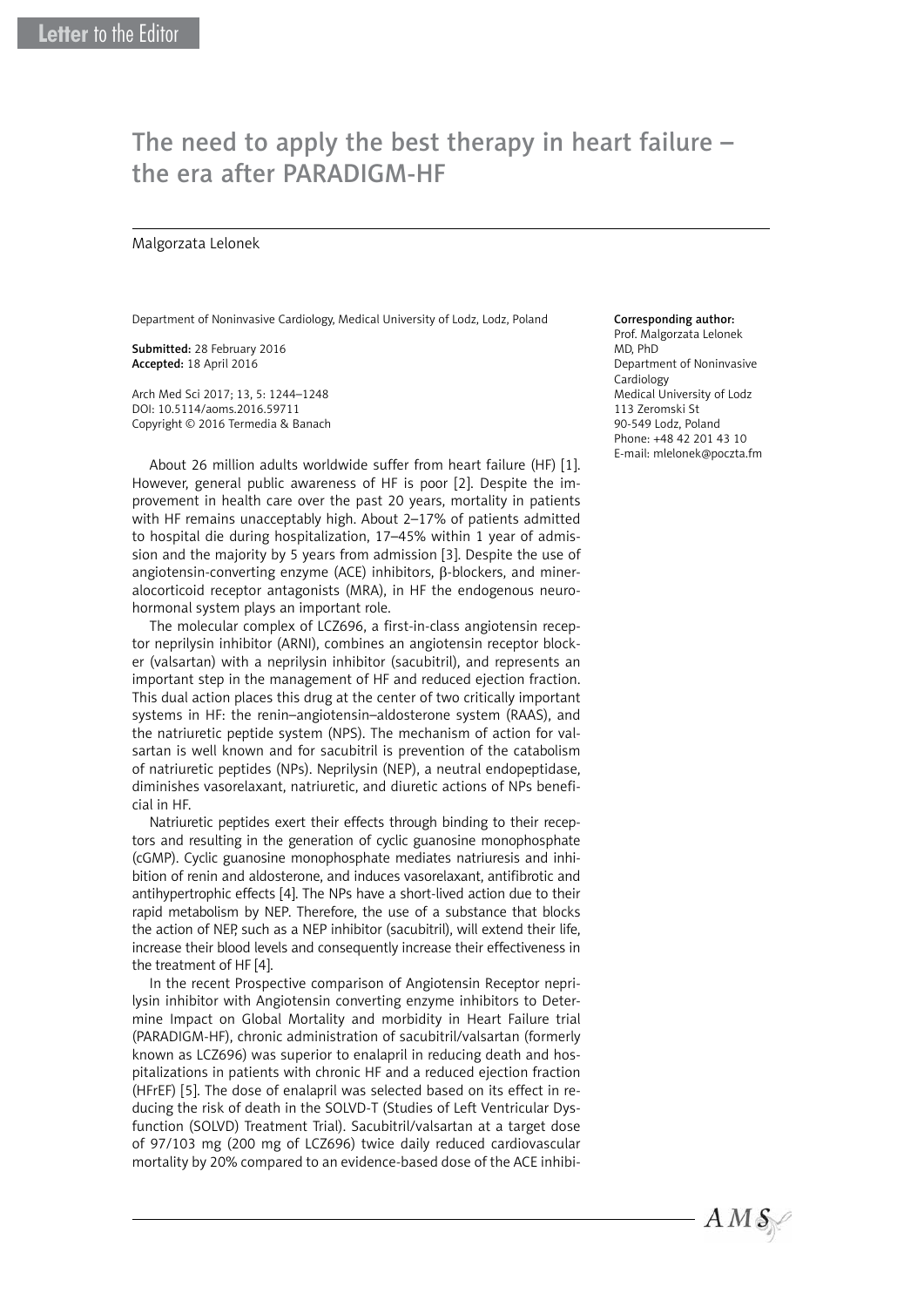# The need to apply the best therapy in heart failure – the era after PARADIGM-HF

#### Malgorzata Lelonek

Department of Noninvasive Cardiology, Medical University of Lodz, Lodz, Poland

Submitted: 28 February 2016 Accepted: 18 April 2016

Arch Med Sci 2017; 13, 5: 1244–1248 DOI: 10.5114/aoms.2016.59711 Copyright © 2016 Termedia & Banach

About 26 million adults worldwide suffer from heart failure (HF) [1]. However, general public awareness of HF is poor [2]. Despite the improvement in health care over the past 20 years, mortality in patients with HF remains unacceptably high. About 2–17% of patients admitted to hospital die during hospitalization, 17–45% within 1 year of admission and the majority by 5 years from admission [3]. Despite the use of angiotensin-converting enzyme (ACE) inhibitors, β-blockers, and mineralocorticoid receptor antagonists (MRA), in HF the endogenous neurohormonal system plays an important role.

The molecular complex of LCZ696, a first-in-class angiotensin receptor neprilysin inhibitor (ARNI), combines an angiotensin receptor blocker (valsartan) with a neprilysin inhibitor (sacubitril), and represents an important step in the management of HF and reduced ejection fraction. This dual action places this drug at the center of two critically important systems in HF: the renin–angiotensin–aldosterone system (RAAS), and the natriuretic peptide system (NPS). The mechanism of action for valsartan is well known and for sacubitril is prevention of the catabolism of natriuretic peptides (NPs). Neprilysin (NEP), a neutral endopeptidase, diminishes vasorelaxant, natriuretic, and diuretic actions of NPs beneficial in HF.

Natriuretic peptides exert their effects through binding to their receptors and resulting in the generation of cyclic guanosine monophosphate (cGMP). Cyclic guanosine monophosphate mediates natriuresis and inhibition of renin and aldosterone, and induces vasorelaxant, antifibrotic and antihypertrophic effects [4]. The NPs have a short-lived action due to their rapid metabolism by NEP. Therefore, the use of a substance that blocks the action of NEP, such as a NEP inhibitor (sacubitril), will extend their life, increase their blood levels and consequently increase their effectiveness in the treatment of HF [4].

In the recent Prospective comparison of Angiotensin Receptor neprilysin inhibitor with Angiotensin converting enzyme inhibitors to Determine Impact on Global Mortality and morbidity in Heart Failure trial (PARADIGM-HF), chronic administration of sacubitril/valsartan (formerly known as LCZ696) was superior to enalapril in reducing death and hospitalizations in patients with chronic HF and a reduced ejection fraction (HFrEF) [5]. The dose of enalapril was selected based on its effect in reducing the risk of death in the SOLVD-T (Studies of Left Ventricular Dysfunction (SOLVD) Treatment Trial). Sacubitril/valsartan at a target dose of 97/103 mg (200 mg of LCZ696) twice daily reduced cardiovascular mortality by 20% compared to an evidence-based dose of the ACE inhibi-

#### Corresponding author:

Prof. Malgorzata Lelonek MD, PhD Department of Noninvasive Cardiology Medical University of Lodz 113 Zeromski St 90-549 Lodz, Poland Phone: +48 42 201 43 10 E-mail: mlelonek@poczta.fm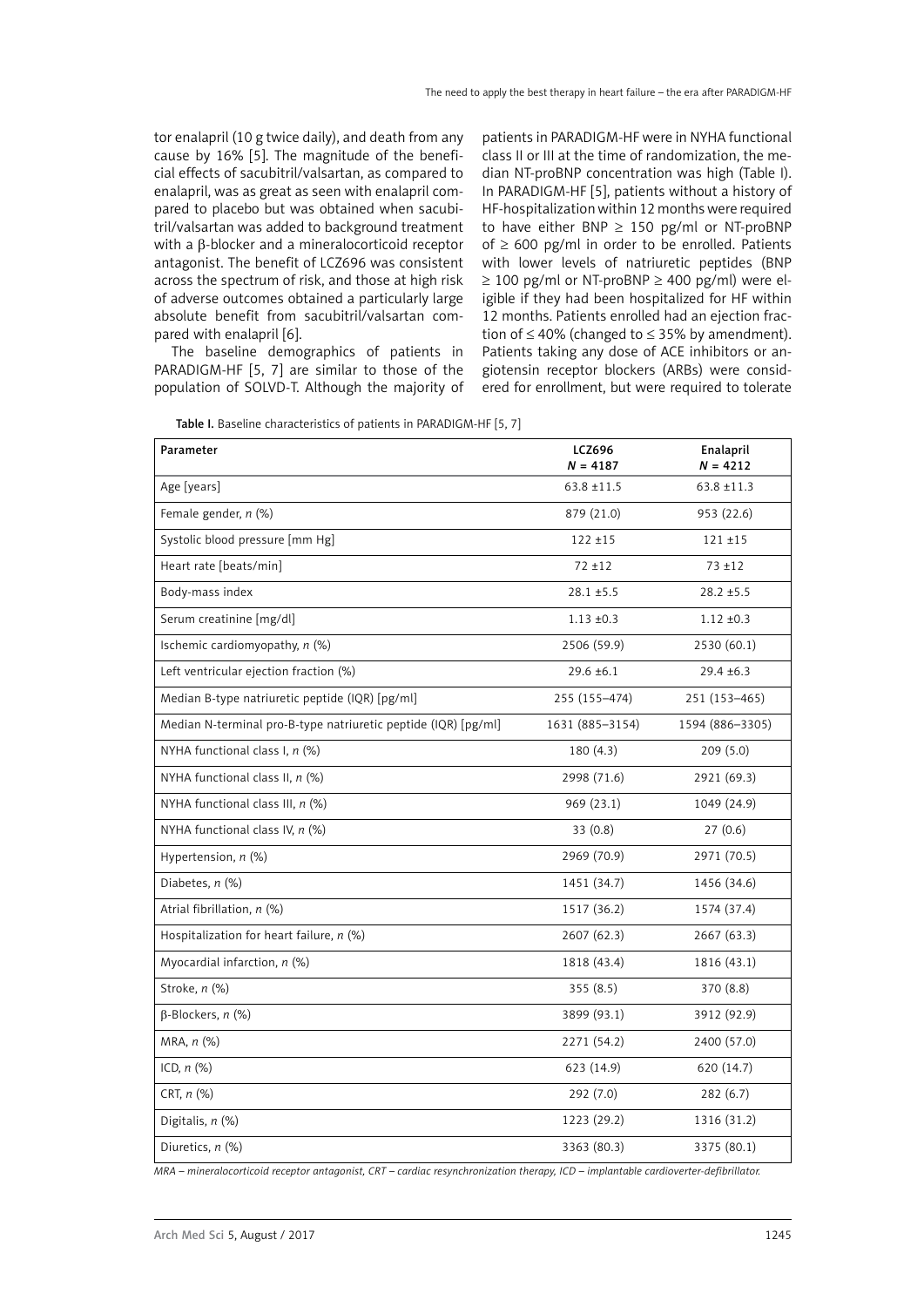tor enalapril (10 g twice daily), and death from any cause by 16% [5]. The magnitude of the beneficial effects of sacubitril/valsartan, as compared to enalapril, was as great as seen with enalapril compared to placebo but was obtained when sacubitril/valsartan was added to background treatment with a β-blocker and a mineralocorticoid receptor antagonist. The benefit of LCZ696 was consistent across the spectrum of risk, and those at high risk of adverse outcomes obtained a particularly large absolute benefit from sacubitril/valsartan compared with enalapril [6].

The baseline demographics of patients in PARADIGM-HF [5, 7] are similar to those of the population of SOLVD-T. Although the majority of

patients in PARADIGM-HF were in NYHA functional class II or III at the time of randomization, the median NT-proBNP concentration was high (Table I). In PARADIGM-HF [5], patients without a history of HF-hospitalization within 12 months were required to have either BNP  $\geq$  150 pg/ml or NT-proBNP of  $\geq 600$  pg/ml in order to be enrolled. Patients with lower levels of natriuretic peptides (BNP  $\geq$  100 pg/ml or NT-proBNP  $\geq$  400 pg/ml) were eligible if they had been hospitalized for HF within 12 months. Patients enrolled had an ejection fraction of  $\leq 40\%$  (changed to  $\leq 35\%$  by amendment). Patients taking any dose of ACE inhibitors or angiotensin receptor blockers (ARBs) were considered for enrollment, but were required to tolerate

| Table I. Baseline characteristics of patients in PARADIGM-HF [5, 7] |  |  |  |
|---------------------------------------------------------------------|--|--|--|
|---------------------------------------------------------------------|--|--|--|

| Parameter                                                      | <b>LCZ696</b><br>$N = 4187$ | Enalapril<br>$N = 4212$ |  |
|----------------------------------------------------------------|-----------------------------|-------------------------|--|
| Age [years]                                                    | $63.8 \pm 11.5$             | $63.8 \pm 11.3$         |  |
| Female gender, n (%)                                           | 879 (21.0)                  | 953 (22.6)              |  |
| Systolic blood pressure [mm Hg]                                | $122 + 15$                  | $121 + 15$              |  |
| Heart rate [beats/min]                                         | $72 + 12$                   | $73 + 12$               |  |
| Body-mass index                                                | $28.1 \pm 5.5$              | $28.2 \pm 5.5$          |  |
| Serum creatinine [mg/dl]                                       | $1.13 \pm 0.3$              | $1.12 \pm 0.3$          |  |
| Ischemic cardiomyopathy, n (%)                                 | 2506 (59.9)                 | 2530 (60.1)             |  |
| Left ventricular ejection fraction (%)                         | $29.6 \pm 6.1$              | $29.4 \pm 6.3$          |  |
| Median B-type natriuretic peptide (IQR) [pg/ml]                | 255 (155-474)               | 251 (153-465)           |  |
| Median N-terminal pro-B-type natriuretic peptide (IQR) [pg/ml] | 1631 (885-3154)             | 1594 (886-3305)         |  |
| NYHA functional class I, $n$ (%)                               | 180 (4.3)                   | 209(5.0)                |  |
| NYHA functional class II, $n$ (%)                              | 2998 (71.6)                 | 2921 (69.3)             |  |
| NYHA functional class III, $n$ (%)                             | 969 (23.1)                  | 1049 (24.9)             |  |
| NYHA functional class IV, $n$ (%)                              | 33(0.8)                     | 27(0.6)                 |  |
| Hypertension, n (%)                                            | 2969 (70.9)                 | 2971 (70.5)             |  |
| Diabetes, n (%)                                                | 1451 (34.7)                 | 1456 (34.6)             |  |
| Atrial fibrillation, n (%)                                     | 1517 (36.2)                 | 1574 (37.4)             |  |
| Hospitalization for heart failure, $n$ (%)                     | 2607 (62.3)                 | 2667 (63.3)             |  |
| Myocardial infarction, $n$ (%)                                 | 1818 (43.4)                 | 1816 (43.1)             |  |
| Stroke, n (%)                                                  | 355(8.5)                    | 370 (8.8)               |  |
| $\beta$ -Blockers, n (%)                                       | 3899 (93.1)                 | 3912 (92.9)             |  |
| MRA, $n$ $%$                                                   | 2271 (54.2)                 | 2400 (57.0)             |  |
| ICD, $n$ $(\%)$                                                | 623 (14.9)                  | 620 (14.7)              |  |
| CRT, $n$ (%)                                                   | 292(7.0)                    | 282(6.7)                |  |
| Digitalis, n (%)                                               | 1223 (29.2)                 | 1316 (31.2)             |  |
| Diuretics, n (%)                                               | 3363 (80.3)                 | 3375 (80.1)             |  |

*MRA – mineralocorticoid receptor antagonist, CRT – cardiac resynchronization therapy, ICD – implantable cardioverter-defibrillator.*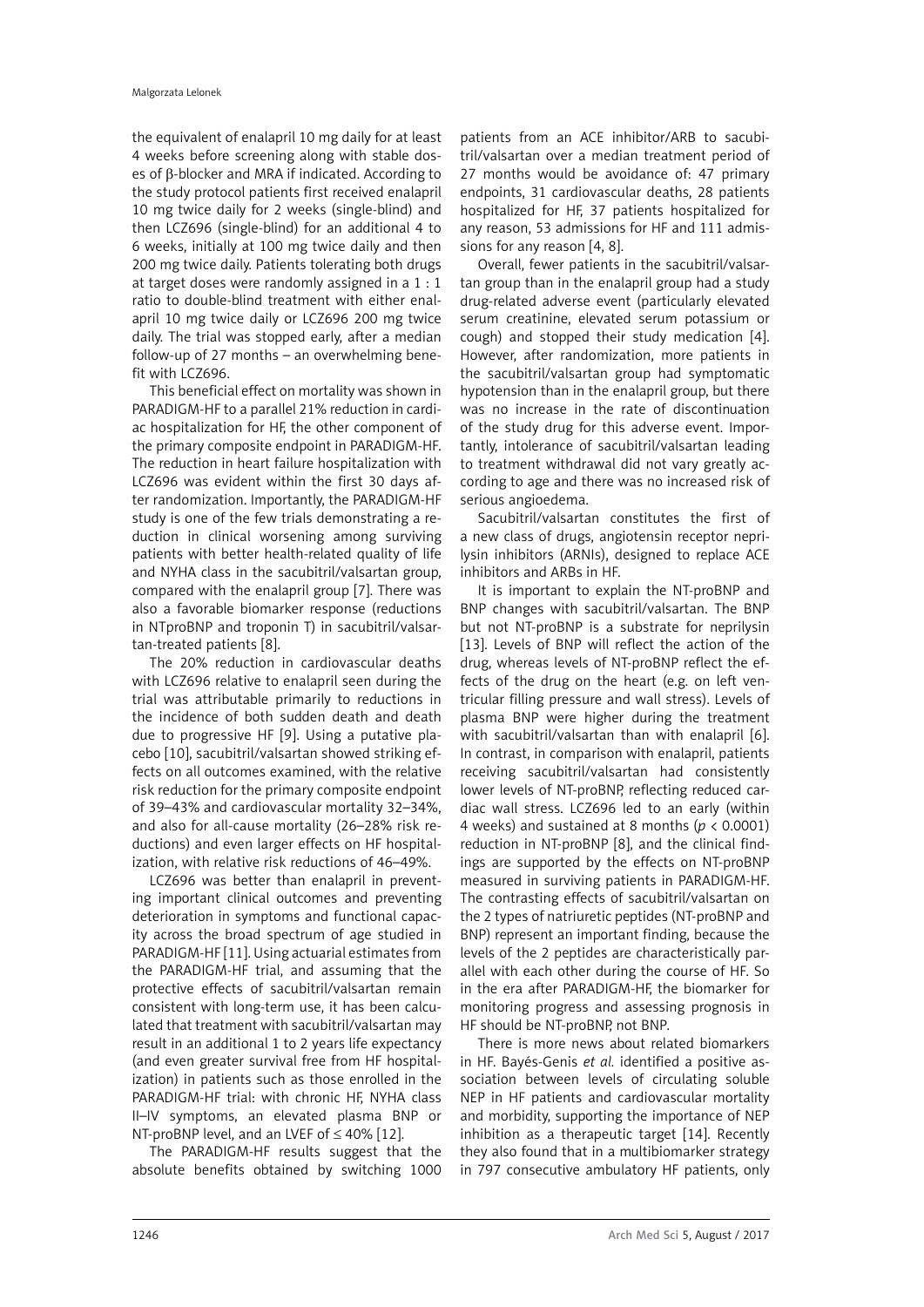the equivalent of enalapril 10 mg daily for at least 4 weeks before screening along with stable doses of β-blocker and MRA if indicated. According to the study protocol patients first received enalapril 10 mg twice daily for 2 weeks (single-blind) and then LCZ696 (single-blind) for an additional 4 to 6 weeks, initially at 100 mg twice daily and then 200 mg twice daily. Patients tolerating both drugs at target doses were randomly assigned in a 1 : 1 ratio to double-blind treatment with either enalapril 10 mg twice daily or LCZ696 200 mg twice daily. The trial was stopped early, after a median follow-up of 27 months – an overwhelming benefit with LCZ696.

This beneficial effect on mortality was shown in PARADIGM-HF to a parallel 21% reduction in cardiac hospitalization for HF, the other component of the primary composite endpoint in PARADIGM-HF. The reduction in heart failure hospitalization with LCZ696 was evident within the first 30 days after randomization. Importantly, the PARADIGM-HF study is one of the few trials demonstrating a reduction in clinical worsening among surviving patients with better health-related quality of life and NYHA class in the sacubitril/valsartan group, compared with the enalapril group [7]. There was also a favorable biomarker response (reductions in NTproBNP and troponin T) in sacubitril/valsartan-treated patients [8].

The 20% reduction in cardiovascular deaths with LCZ696 relative to enalapril seen during the trial was attributable primarily to reductions in the incidence of both sudden death and death due to progressive HF [9]. Using a putative placebo [10], sacubitril/valsartan showed striking effects on all outcomes examined, with the relative risk reduction for the primary composite endpoint of 39–43% and cardiovascular mortality 32–34%, and also for all-cause mortality (26–28% risk reductions) and even larger effects on HF hospitalization, with relative risk reductions of 46–49%.

LCZ696 was better than enalapril in preventing important clinical outcomes and preventing deterioration in symptoms and functional capacity across the broad spectrum of age studied in PARADIGM-HF [11]. Using actuarial estimates from the PARADIGM-HF trial, and assuming that the protective effects of sacubitril/valsartan remain consistent with long-term use, it has been calculated that treatment with sacubitril/valsartan may result in an additional 1 to 2 years life expectancy (and even greater survival free from HF hospitalization) in patients such as those enrolled in the PARADIGM-HF trial: with chronic HF, NYHA class II–IV symptoms, an elevated plasma BNP or NT-proBNP level, and an LVEF of ≤ 40% [12].

The PARADIGM-HF results suggest that the absolute benefits obtained by switching 1000

patients from an ACE inhibitor/ARB to sacubitril/valsartan over a median treatment period of 27 months would be avoidance of: 47 primary endpoints, 31 cardiovascular deaths, 28 patients hospitalized for HF, 37 patients hospitalized for any reason, 53 admissions for HF and 111 admissions for any reason [4, 8].

Overall, fewer patients in the sacubitril/valsartan group than in the enalapril group had a study drug-related adverse event (particularly elevated serum creatinine, elevated serum potassium or cough) and stopped their study medication [4]. However, after randomization, more patients in the sacubitril/valsartan group had symptomatic hypotension than in the enalapril group, but there was no increase in the rate of discontinuation of the study drug for this adverse event. Importantly, intolerance of sacubitril/valsartan leading to treatment withdrawal did not vary greatly according to age and there was no increased risk of serious angioedema.

Sacubitril/valsartan constitutes the first of a new class of drugs, angiotensin receptor neprilysin inhibitors (ARNIs), designed to replace ACE inhibitors and ARBs in HF.

It is important to explain the NT-proBNP and BNP changes with sacubitril/valsartan. The BNP but not NT-proBNP is a substrate for neprilysin [13]. Levels of BNP will reflect the action of the drug, whereas levels of NT-proBNP reflect the effects of the drug on the heart (e.g. on left ventricular filling pressure and wall stress). Levels of plasma BNP were higher during the treatment with sacubitril/valsartan than with enalapril [6]. In contrast, in comparison with enalapril, patients receiving sacubitril/valsartan had consistently lower levels of NT-proBNP, reflecting reduced cardiac wall stress. LCZ696 led to an early (within 4 weeks) and sustained at 8 months (*p* < 0.0001) reduction in NT-proBNP [8], and the clinical findings are supported by the effects on NT-proBNP measured in surviving patients in PARADIGM-HF. The contrasting effects of sacubitril/valsartan on the 2 types of natriuretic peptides (NT-proBNP and BNP) represent an important finding, because the levels of the 2 peptides are characteristically parallel with each other during the course of HF. So in the era after PARADIGM-HF, the biomarker for monitoring progress and assessing prognosis in HF should be NT-proBNP, not BNP.

There is more news about related biomarkers in HF. Bayés-Genis *et al.* identified a positive association between levels of circulating soluble NEP in HF patients and cardiovascular mortality and morbidity, supporting the importance of NEP inhibition as a therapeutic target [14]. Recently they also found that in a multibiomarker strategy in 797 consecutive ambulatory HF patients, only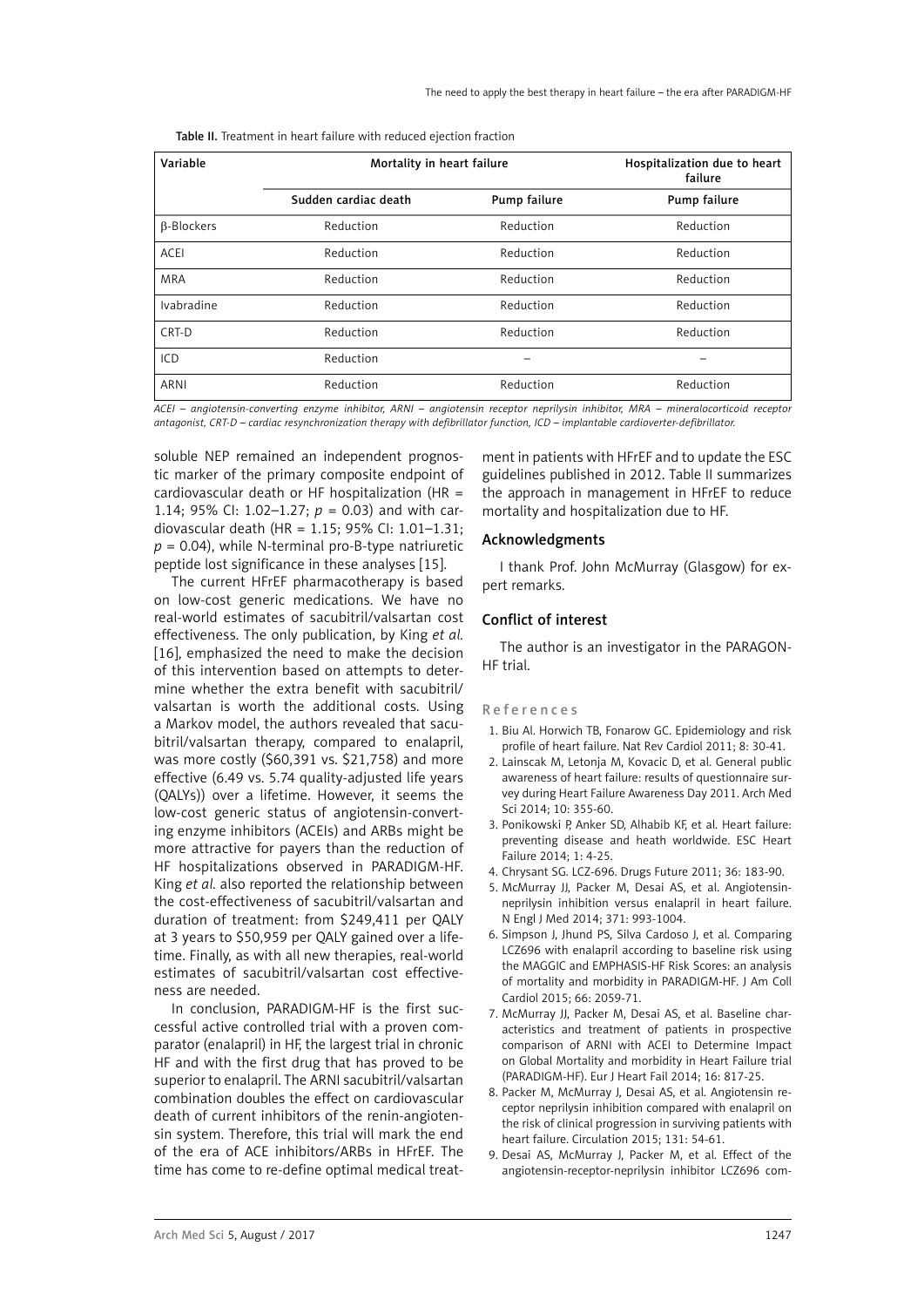| Variable          | Mortality in heart failure |              | Hospitalization due to heart<br>failure |
|-------------------|----------------------------|--------------|-----------------------------------------|
|                   | Sudden cardiac death       | Pump failure | Pump failure                            |
| <b>B-Blockers</b> | Reduction                  | Reduction    | Reduction                               |
| <b>ACEI</b>       | Reduction                  | Reduction    | Reduction                               |
| <b>MRA</b>        | Reduction                  | Reduction    | Reduction                               |
| Ivabradine        | Reduction                  | Reduction    | Reduction                               |
| CRT-D             | Reduction                  | Reduction    | Reduction                               |
| ICD               | Reduction                  |              |                                         |
| ARNI              | Reduction                  | Reduction    | Reduction                               |

Table II. Treatment in heart failure with reduced ejection fraction

*ACEI – angiotensin-converting enzyme inhibitor, ARNI – angiotensin receptor neprilysin inhibitor, MRA – mineralocorticoid receptor antagonist, CRT-D – cardiac resynchronization therapy with defibrillator function, ICD – implantable cardioverter-defibrillator.*

soluble NEP remained an independent prognostic marker of the primary composite endpoint of cardiovascular death or HF hospitalization (HR  $=$ 1.14; 95% CI: 1.02–1.27; *p* = 0.03) and with cardiovascular death (HR = 1.15; 95% CI: 1.01–1.31;  $p = 0.04$ ), while N-terminal pro-B-type natriuretic peptide lost significance in these analyses [15].

The current HFrEF pharmacotherapy is based on low-cost generic medications. We have no real-world estimates of sacubitril/valsartan cost effectiveness. The only publication, by King *et al.* [16], emphasized the need to make the decision of this intervention based on attempts to determine whether the extra benefit with sacubitril/ valsartan is worth the additional costs. Using a Markov model, the authors revealed that sacubitril/valsartan therapy, compared to enalapril, was more costly (\$60,391 vs. \$21,758) and more effective (6.49 vs. 5.74 quality-adjusted life years (QALYs)) over a lifetime. However, it seems the low-cost generic status of angiotensin-converting enzyme inhibitors (ACEIs) and ARBs might be more attractive for payers than the reduction of HF hospitalizations observed in PARADIGM-HF. King *et al.* also reported the relationship between the cost-effectiveness of sacubitril/valsartan and duration of treatment: from \$249,411 per QALY at 3 years to \$50,959 per QALY gained over a lifetime. Finally, as with all new therapies, real-world estimates of sacubitril/valsartan cost effectiveness are needed.

In conclusion, PARADIGM-HF is the first successful active controlled trial with a proven comparator (enalapril) in HF, the largest trial in chronic HF and with the first drug that has proved to be superior to enalapril. The ARNI sacubitril/valsartan combination doubles the effect on cardiovascular death of current inhibitors of the renin-angiotensin system. Therefore, this trial will mark the end of the era of ACE inhibitors/ARBs in HFrEF. The time has come to re-define optimal medical treat-

ment in patients with HFrEF and to update the ESC guidelines published in 2012. Table II summarizes the approach in management in HFrEF to reduce mortality and hospitalization due to HF.

## Acknowledgments

I thank Prof. John McMurray (Glasgow) for expert remarks.

## Conflict of interest

The author is an investigator in the PARAGON-HF trial.

#### References

- 1. Biu Al. Horwich TB, Fonarow GC. Epidemiology and risk profile of heart failure. Nat Rev Cardiol 2011; 8: 30-41.
- 2. Lainscak M, Letonja M, Kovacic D, et al. General public awareness of heart failure: results of questionnaire survey during Heart Failure Awareness Day 2011. Arch Med Sci 2014; 10: 355-60.
- 3. Ponikowski P, Anker SD, Alhabib KF, et al. Heart failure: preventing disease and heath worldwide. ESC Heart Failure 2014; 1: 4-25.
- 4. Chrysant SG. LCZ-696. Drugs Future 2011; 36: 183-90.
- 5. McMurray JJ, Packer M, Desai AS, et al. Angiotensinneprilysin inhibition versus enalapril in heart failure. N Engl J Med 2014; 371: 993-1004.
- 6. Simpson J, Jhund PS, Silva Cardoso J, et al. Comparing LCZ696 with enalapril according to baseline risk using the MAGGIC and EMPHASIS-HF Risk Scores: an analysis of mortality and morbidity in PARADIGM-HF. J Am Coll Cardiol 2015; 66: 2059-71.
- 7. McMurray JJ, Packer M, Desai AS, et al. Baseline characteristics and treatment of patients in prospective comparison of ARNI with ACEI to Determine Impact on Global Mortality and morbidity in Heart Failure trial (PARADIGM-HF). Eur J Heart Fail 2014; 16: 817-25.
- 8. Packer M, McMurray J, Desai AS, et al. Angiotensin receptor neprilysin inhibition compared with enalapril on the risk of clinical progression in surviving patients with heart failure. Circulation 2015; 131: 54-61.
- 9. Desai AS, McMurray J, Packer M, et al. Effect of the angiotensin-receptor-neprilysin inhibitor LCZ696 com-